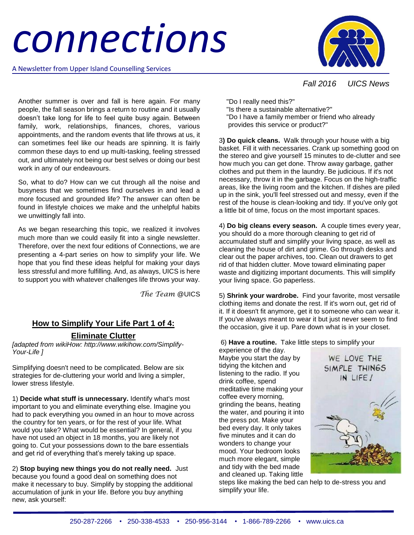# *connections*

A Newsletter from Upper Island Counselling Services



### *Fall 2016 UICS News*

Another summer is over and fall is here again. For many people, the fall season brings a return to routine and it usually doesn't take long for life to feel quite busy again. Between family, work, relationships, finances, chores, various appointments, and the random events that life throws at us, it can sometimes feel like our heads are spinning. It is fairly common these days to end up multi-tasking, feeling stressed out, and ultimately not being our best selves or doing our best work in any of our endeavours.

So, what to do? How can we cut through all the noise and busyness that we sometimes find ourselves in and lead a more focused and grounded life? The answer can often be found in lifestyle choices we make and the unhelpful habits we unwittingly fall into.

As we began researching this topic, we realized it involves much more than we could easily fit into a single newsletter. Therefore, over the next four editions of Connections, we are presenting a 4-part series on how to simplify your life. We hope that you find these ideas helpful for making your days less stressful and more fulfilling. And, as always, UICS is here to support you with whatever challenges life throws your way.

*The Team* @UICS

## **How to Simplify Your Life Part 1 of 4:**

#### **Eliminate Clutter**

*[adapted from wikiHow: http://www.wikihow.com/Simplify-Your-Life ]*

Simplifying doesn't need to be complicated. Below are six strategies for de-cluttering your world and living a simpler, lower stress lifestyle.

1) **Decide what stuff is unnecessary.** Identify what's most important to you and eliminate everything else. Imagine you had to pack everything you owned in an hour to move across the country for ten years, or for the rest of your life. What would you take? What would be essential? In general, if you have not used an object in 18 months, you are likely not going to. Cut your possessions down to the bare essentials and get rid of everything that's merely taking up space.

2) **Stop buying new things you do not really need.** Just because you found a good deal on something does not make it necessary to buy. Simplify by stopping the additional accumulation of junk in your life. Before you buy anything new, ask yourself:

 "Do I really need this?" "Is there a sustainable alternative?" "Do I have a family member or friend who already provides this service or product?"

3**) Do quick cleans.** Walk through your house with a big basket. Fill it with necessaries. Crank up something good on the stereo and give yourself 15 minutes to de-clutter and see how much you can get done. Throw away garbage, gather clothes and put them in the laundry. Be judicious. If it's not necessary, throw it in the garbage. Focus on the high-traffic areas, like the living room and the kitchen. If dishes are piled up in the sink, you'll feel stressed out and messy, even if the rest of the house is clean-looking and tidy. If you've only got a little bit of time, focus on the most important spaces.

4) **Do big cleans every season.** A couple times every year, you should do a more thorough cleaning to get rid of accumulated stuff and simplify your living space, as well as cleaning the house of dirt and grime. Go through desks and clear out the paper archives, too. Clean out drawers to get rid of that hidden clutter. Move toward eliminating paper waste and digitizing important documents. This will simplify your living space. Go paperless.

5) **Shrink your wardrobe.** Find your favorite, most versatile clothing items and donate the rest. If it's worn out, get rid of it. If it doesn't fit anymore, get it to someone who can wear it. If you've always meant to wear it but just never seem to find the occasion, give it up. Pare down what is in your closet.

6) **Have a routine.** Take little steps to simplify your

experience of the day. Maybe you start the day by tidying the kitchen and listening to the radio. If you drink coffee, spend meditative time making your coffee every morning, grinding the beans, heating the water, and pouring it into the press pot. Make your bed every day. It only takes five minutes and it can do wonders to change your mood. Your bedroom looks much more elegant, simple and tidy with the bed made and cleaned up. Taking little



steps like making the bed can help to de-stress you and simplify your life.